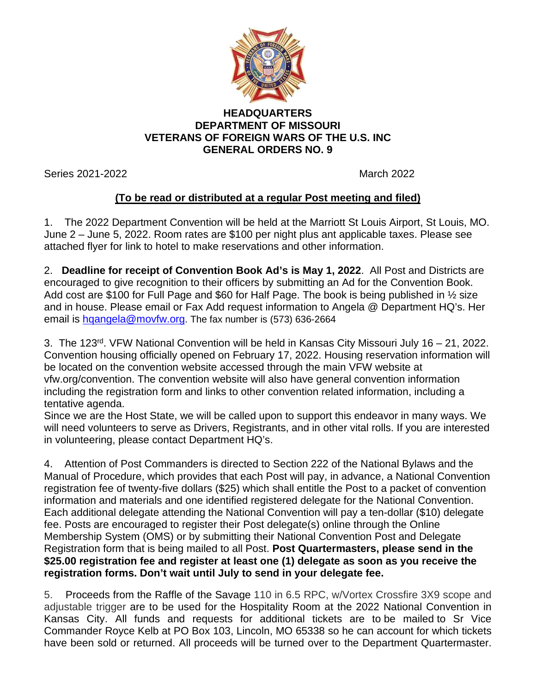

## **HEADQUARTERS DEPARTMENT OF MISSOURI VETERANS OF FOREIGN WARS OF THE U.S. INC GENERAL ORDERS NO. 9**

Series 2021-2022 March 2022

## **(To be read or distributed at a regular Post meeting and filed)**

1. The 2022 Department Convention will be held at the Marriott St Louis Airport, St Louis, MO. June 2 – June 5, 2022. Room rates are \$100 per night plus ant applicable taxes. Please see attached flyer for link to hotel to make reservations and other information.

2. **Deadline for receipt of Convention Book Ad's is May 1, 2022**. All Post and Districts are encouraged to give recognition to their officers by submitting an Ad for the Convention Book. Add cost are \$100 for Full Page and \$60 for Half Page. The book is being published in 1/2 size and in house. Please email or Fax Add request information to Angela @ Department HQ's. Her email is hgangela@movfw.org. The fax number is (573) 636-2664

3. The 123rd. VFW National Convention will be held in Kansas City Missouri July 16 – 21, 2022. Convention housing officially opened on February 17, 2022. Housing reservation information will be located on the convention website accessed through the main VFW website at vfw.org/convention. The convention website will also have general convention information including the registration form and links to other convention related information, including a tentative agenda.

Since we are the Host State, we will be called upon to support this endeavor in many ways. We will need volunteers to serve as Drivers, Registrants, and in other vital rolls. If you are interested in volunteering, please contact Department HQ's.

4. Attention of Post Commanders is directed to Section 222 of the National Bylaws and the Manual of Procedure, which provides that each Post will pay, in advance, a National Convention registration fee of twenty-five dollars (\$25) which shall entitle the Post to a packet of convention information and materials and one identified registered delegate for the National Convention. Each additional delegate attending the National Convention will pay a ten-dollar (\$10) delegate fee. Posts are encouraged to register their Post delegate(s) online through the Online Membership System (OMS) or by submitting their National Convention Post and Delegate Registration form that is being mailed to all Post. **Post Quartermasters, please send in the \$25.00 registration fee and register at least one (1) delegate as soon as you receive the registration forms. Don't wait until July to send in your delegate fee.**

5. Proceeds from the Raffle of the Savage 110 in 6.5 RPC, w/Vortex Crossfire 3X9 scope and adjustable trigger are to be used for the Hospitality Room at the 2022 National Convention in Kansas City. All funds and requests for additional tickets are to be mailed to Sr Vice Commander Royce Kelb at PO Box 103, Lincoln, MO 65338 so he can account for which tickets have been sold or returned. All proceeds will be turned over to the Department Quartermaster.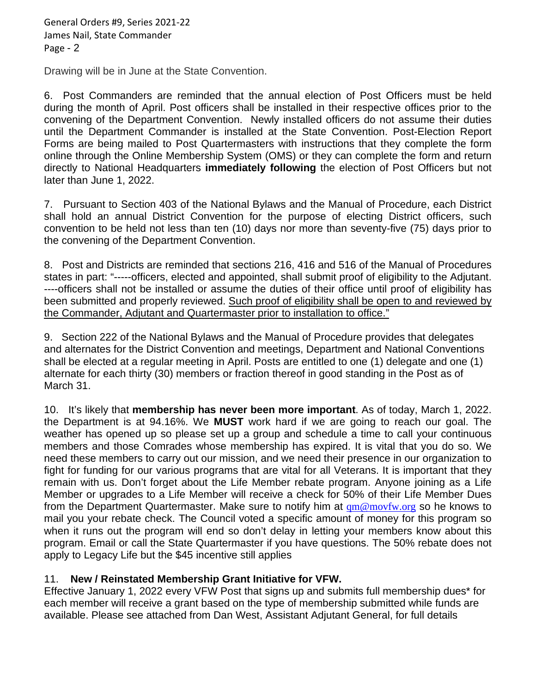General Orders #9, Series 2021-22 James Nail, State Commander Page - 2

Drawing will be in June at the State Convention.

6. Post Commanders are reminded that the annual election of Post Officers must be held during the month of April. Post officers shall be installed in their respective offices prior to the convening of the Department Convention. Newly installed officers do not assume their duties until the Department Commander is installed at the State Convention. Post-Election Report Forms are being mailed to Post Quartermasters with instructions that they complete the form online through the Online Membership System (OMS) or they can complete the form and return directly to National Headquarters **immediately following** the election of Post Officers but not later than June 1, 2022.

7. Pursuant to Section 403 of the National Bylaws and the Manual of Procedure, each District shall hold an annual District Convention for the purpose of electing District officers, such convention to be held not less than ten (10) days nor more than seventy-five (75) days prior to the convening of the Department Convention.

8. Post and Districts are reminded that sections 216, 416 and 516 of the Manual of Procedures states in part: "-----officers, elected and appointed, shall submit proof of eligibility to the Adjutant. ----officers shall not be installed or assume the duties of their office until proof of eligibility has been submitted and properly reviewed. Such proof of eligibility shall be open to and reviewed by the Commander, Adjutant and Quartermaster prior to installation to office."

9. Section 222 of the National Bylaws and the Manual of Procedure provides that delegates and alternates for the District Convention and meetings, Department and National Conventions shall be elected at a regular meeting in April. Posts are entitled to one (1) delegate and one (1) alternate for each thirty (30) members or fraction thereof in good standing in the Post as of March 31.

10. It's likely that **membership has never been more important**. As of today, March 1, 2022. the Department is at 94.16%. We **MUST** work hard if we are going to reach our goal. The weather has opened up so please set up a group and schedule a time to call your continuous members and those Comrades whose membership has expired. It is vital that you do so. We need these members to carry out our mission, and we need their presence in our organization to fight for funding for our various programs that are vital for all Veterans. It is important that they remain with us. Don't forget about the Life Member rebate program. Anyone joining as a Life Member or upgrades to a Life Member will receive a check for 50% of their Life Member Dues from the Department Quartermaster. Make sure to notify him at  $qm@movfw.org$  so he knows to mail you your rebate check. The Council voted a specific amount of money for this program so when it runs out the program will end so don't delay in letting your members know about this program. Email or call the State Quartermaster if you have questions. The 50% rebate does not apply to Legacy Life but the \$45 incentive still applies

## 11. **New / Reinstated Membership Grant Initiative for VFW.**

Effective January 1, 2022 every VFW Post that signs up and submits full membership dues\* for each member will receive a grant based on the type of membership submitted while funds are available. Please see attached from Dan West, Assistant Adjutant General, for full details